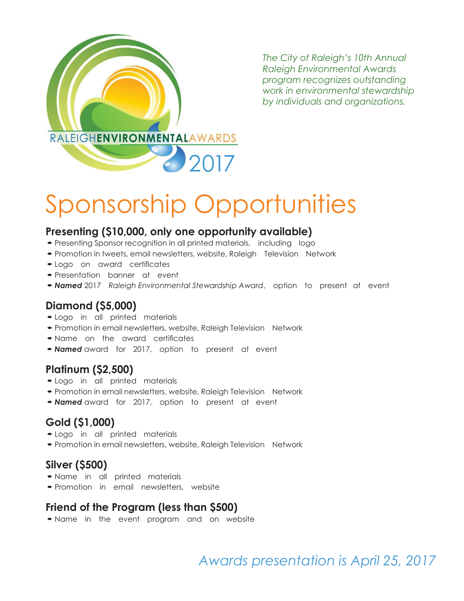

*The City of Raleigh's 10th Annual Raleigh Environmental Awards program recognizes outstanding work in environmental stewardship by individuals and organizations.*

# Sponsorship Opportunities

### **Presenting (\$10,000, only one opportunity available)**

- Presenting Sponsor recognition in all printed materials, including logo
- •Promotion in tweets, email newsletters, website, Raleigh Television Network
- •Logo on award certificates
- •Presentation banner at event
- •*Named* <sup>2017</sup> *Raleigh Environmental Stewardship Award*, option to present at event

## **Diamond (\$5,000)**

- •Logo in all printed materials
- Promotion in email newsletters, website, Raleigh Television Network
- Name on the award certificates
- •*Named* award for 2017, option to present at event

#### **Platinum (\$2,500)**

- •Logo in all printed materials
- Promotion in email newsletters, website, Raleigh Television Network
- •*Named* award for 2017, option to present at event

# **Gold (\$1,000)**

- •Logo in all printed materials
- Promotion in email newsletters, website, Raleigh Television Network

#### **Silver (\$500)**

- •Name in all printed materials
- •Promotion in email newsletters, website

#### **Friend of the Program (less than \$500)**

•Name in the event program and on website